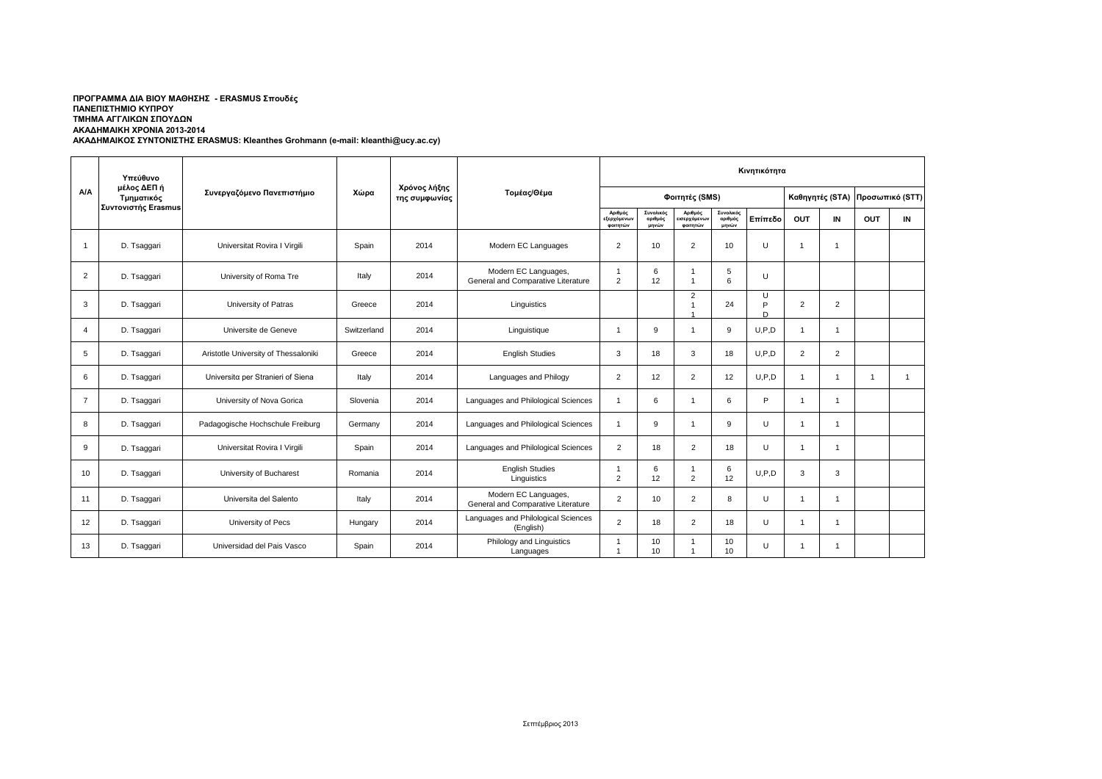|                | Υπεύθυνο                  |                                      |             |                               |                                                            | Κινητικότητα                       |                               |                                    |                               |              |                 |                |                 |                |
|----------------|---------------------------|--------------------------------------|-------------|-------------------------------|------------------------------------------------------------|------------------------------------|-------------------------------|------------------------------------|-------------------------------|--------------|-----------------|----------------|-----------------|----------------|
| <b>A/A</b>     | μέλος ΔΕΠ ή<br>Τμηματικός | Συνεργαζόμενο Πανεπιστήμιο           | Χώρα        | Χρόνος λήξης<br>της συμφωνίας | Τομέας/Θέμα                                                |                                    |                               | Φοιτητές (SMS)                     |                               |              | Καθηγητές (STA) |                | Προσωπικό (STT) |                |
|                | Συντονιστής Erasmus       |                                      |             |                               |                                                            | Αριθμός<br>εξερχόμενων<br>φοιτητών | Συνολικός<br>αριθμός<br>μηνών | Αριθμός<br>ισερχόμενων<br>φοιτητών | Συνολικός<br>αριθμός<br>μηνών | Επίπεδο      | OUT             | IN             | <b>OUT</b>      | IN             |
| $\mathbf{1}$   | D. Tsaggari               | Universitat Rovira I Virgili         | Spain       | 2014                          | Modern EC Languages                                        | $\overline{2}$                     | 10                            | $\overline{2}$                     | 10                            | $\mathbf{U}$ | 1               | $\mathbf{1}$   |                 |                |
| $\overline{2}$ | D. Tsaggari               | University of Roma Tre               | Italy       | 2014                          | Modern EC Languages,<br>General and Comparative Literature | $\overline{2}$                     | 6<br>12                       | $\overline{1}$                     | 5<br>6                        | U            |                 |                |                 |                |
| 3              | D. Tsaggari               | University of Patras                 | Greece      | 2014                          | Linguistics                                                |                                    |                               | $\overline{2}$<br>1                | 24                            | U<br>P<br>D  | $\overline{2}$  | $\overline{2}$ |                 |                |
| 4              | D. Tsaggari               | Universite de Geneve                 | Switzerland | 2014                          | Linguistique                                               |                                    | 9                             | 1                                  | 9                             | U, P, D      | $\mathbf{1}$    | $\mathbf{1}$   |                 |                |
| 5              | D. Tsaggari               | Aristotle University of Thessaloniki | Greece      | 2014                          | <b>English Studies</b>                                     | 3                                  | 18                            | 3                                  | 18                            | U, P, D      | $\overline{2}$  | $\overline{2}$ |                 |                |
| 6              | D. Tsaggari               | Universita per Stranieri of Siena    | Italy       | 2014                          | Languages and Philogy                                      | $\overline{2}$                     | 12                            | $\overline{2}$                     | 12                            | U, P, D      | $\mathbf{1}$    | $\mathbf{1}$   | -1              | $\overline{1}$ |
| $\overline{7}$ | D. Tsaggari               | University of Nova Gorica            | Slovenia    | 2014                          | Languages and Philological Sciences                        |                                    | 6                             | 1                                  | 6                             | P.           | 1               | $\mathbf{1}$   |                 |                |
| 8              | D. Tsaggari               | Padagogische Hochschule Freiburg     | Germany     | 2014                          | Languages and Philological Sciences                        |                                    | 9                             | $\overline{1}$                     | 9                             | U            | $\mathbf{1}$    | $\mathbf{1}$   |                 |                |
| 9              | D. Tsaggari               | Universitat Rovira I Virgili         | Spain       | 2014                          | Languages and Philological Sciences                        | $\overline{2}$                     | 18                            | $\overline{2}$                     | 18                            | U            | 1               | $\mathbf{1}$   |                 |                |
| 10             | D. Tsaggari               | University of Bucharest              | Romania     | 2014                          | <b>English Studies</b><br>Linguistics                      | $\overline{2}$                     | 6<br>12                       | $\overline{1}$<br>$\overline{2}$   | 6<br>12                       | U, P, D      | 3               | 3              |                 |                |
| 11             | D. Tsaggari               | Universita del Salento               | Italy       | 2014                          | Modern EC Languages,<br>General and Comparative Literature | $\overline{2}$                     | 10                            | $\overline{2}$                     | 8                             | U            | $\mathbf{1}$    | $\mathbf{1}$   |                 |                |
| 12             | D. Tsaggari               | University of Pecs                   | Hungary     | 2014                          | Languages and Philological Sciences<br>(English)           | $\overline{2}$                     | 18                            | 2                                  | 18                            | U            | $\mathbf{1}$    | $\mathbf{1}$   |                 |                |
| 13             | D. Tsaggari               | Universidad del Pais Vasco           | Spain       | 2014                          | Philology and Linguistics<br>Languages                     |                                    | 10<br>10                      |                                    | 10<br>10                      | U            | -1              | $\mathbf{1}$   |                 |                |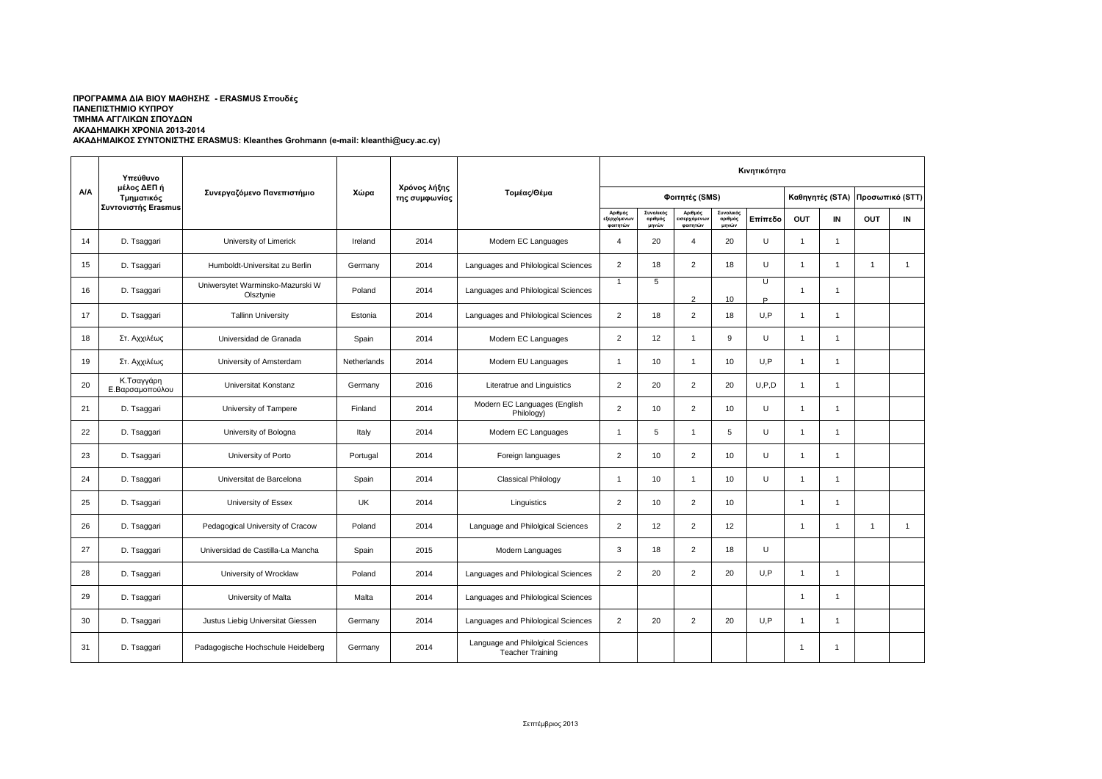|     | Υπεύθυνο                                         |                                               |             |                               |                                                              |                                                                                                                                                                                                                                                                                                                                                                                                                                                                                                                                                                                                                                                                                                                                                                                                                                                                                                                                        |    | Κινητικότητα    |                 |         |                |                |                |              |  |
|-----|--------------------------------------------------|-----------------------------------------------|-------------|-------------------------------|--------------------------------------------------------------|----------------------------------------------------------------------------------------------------------------------------------------------------------------------------------------------------------------------------------------------------------------------------------------------------------------------------------------------------------------------------------------------------------------------------------------------------------------------------------------------------------------------------------------------------------------------------------------------------------------------------------------------------------------------------------------------------------------------------------------------------------------------------------------------------------------------------------------------------------------------------------------------------------------------------------------|----|-----------------|-----------------|---------|----------------|----------------|----------------|--------------|--|
| A/A | μέλος ΔΕΠ ή<br>Τμηματικός<br>Συντονιστής Erasmus | Συνεργαζόμενο Πανεπιστήμιο                    | Χώρα        | Χρόνος λήξης<br>της συμφωνίας | Τομέας/Θέμα                                                  | Φοιτητές (SMS)<br>Αριθμός<br>Συνολικός<br>Συνολικός<br>Αριθμός<br>εξερχόμενων<br>αριθμός<br>ισερχόμενων<br>αριθμός<br>φοιτητών<br>μηνών<br>φοιτητών<br>μηνών<br>U<br>20<br>$\overline{4}$<br>$\overline{4}$<br>20<br>$\overline{2}$<br>$\overline{2}$<br>$\cup$<br>18<br>18<br>Ū<br>5<br>$\mathbf{1}$<br>$\overline{2}$<br>10<br>D<br>$\overline{2}$<br>2<br>U.P<br>18<br>18<br>$\overline{2}$<br>12<br>9<br>U<br>$\overline{1}$<br>U.P<br>10<br>10<br>1<br>$\overline{1}$<br>$\overline{2}$<br>20<br>$\overline{2}$<br>U.P.D<br>20<br>$\overline{2}$<br>2<br>U<br>10<br>10<br>5<br>5<br>U<br>$\overline{1}$<br>$\mathbf{1}$<br>$\overline{2}$<br>$\overline{2}$<br>U<br>10<br>10<br>$\cup$<br>10<br>10<br>$\mathbf{1}$<br>$\mathbf{1}$<br>$\overline{2}$<br>$\overline{2}$<br>10<br>10<br>$\overline{2}$<br>$\overline{2}$<br>12<br>12<br>3<br>$\overline{2}$<br>U<br>18<br>18<br>U.P<br>$\overline{2}$<br>20<br>$\overline{2}$<br>20 |    | Καθηγητές (STA) | Προσωπικό (STT) |         |                |                |                |              |  |
|     |                                                  |                                               |             |                               |                                                              |                                                                                                                                                                                                                                                                                                                                                                                                                                                                                                                                                                                                                                                                                                                                                                                                                                                                                                                                        |    |                 |                 | Επίπεδο | OUT            | IN             | OUT            | IN           |  |
| 14  | D. Tsaggari                                      | University of Limerick                        | Ireland     | 2014                          | Modern EC Languages                                          |                                                                                                                                                                                                                                                                                                                                                                                                                                                                                                                                                                                                                                                                                                                                                                                                                                                                                                                                        |    |                 |                 |         | $\mathbf{1}$   | $\mathbf{1}$   |                |              |  |
| 15  | D. Tsaggari                                      | Humboldt-Universitat zu Berlin                | Germany     | 2014                          | Languages and Philological Sciences                          |                                                                                                                                                                                                                                                                                                                                                                                                                                                                                                                                                                                                                                                                                                                                                                                                                                                                                                                                        |    |                 |                 |         | $\overline{1}$ | $\overline{1}$ | $\overline{1}$ | $\mathbf{1}$ |  |
| 16  | D. Tsaggari                                      | Uniwersytet Warminsko-Mazurski W<br>Olsztynie | Poland      | 2014                          | Languages and Philological Sciences                          |                                                                                                                                                                                                                                                                                                                                                                                                                                                                                                                                                                                                                                                                                                                                                                                                                                                                                                                                        |    |                 |                 |         | $\overline{1}$ | $\overline{1}$ |                |              |  |
| 17  | D. Tsaggari                                      | <b>Tallinn University</b>                     | Estonia     | 2014                          | Languages and Philological Sciences                          |                                                                                                                                                                                                                                                                                                                                                                                                                                                                                                                                                                                                                                                                                                                                                                                                                                                                                                                                        |    |                 |                 |         | $\overline{1}$ | $\mathbf 1$    |                |              |  |
| 18  | Στ. Αχχιλέως                                     | Universidad de Granada                        | Spain       | 2014                          | Modern EC Languages                                          |                                                                                                                                                                                                                                                                                                                                                                                                                                                                                                                                                                                                                                                                                                                                                                                                                                                                                                                                        |    |                 |                 |         | $\overline{1}$ | 1              |                |              |  |
| 19  | Στ. Αχχιλέως                                     | University of Amsterdam                       | Netherlands | 2014                          | Modern EU Languages                                          |                                                                                                                                                                                                                                                                                                                                                                                                                                                                                                                                                                                                                                                                                                                                                                                                                                                                                                                                        |    |                 |                 |         | $\mathbf{1}$   | $\overline{1}$ |                |              |  |
| 20  | Κ.Τσαγγάρη<br>Ε.Βαρσαμοπούλου                    | Universitat Konstanz                          | Germany     | 2016                          | Literatrue and Linguistics                                   |                                                                                                                                                                                                                                                                                                                                                                                                                                                                                                                                                                                                                                                                                                                                                                                                                                                                                                                                        |    |                 |                 |         | $\overline{1}$ | $\overline{1}$ |                |              |  |
| 21  | D. Tsaggari                                      | University of Tampere                         | Finland     | 2014                          | Modern EC Languages (English<br>Philology)                   |                                                                                                                                                                                                                                                                                                                                                                                                                                                                                                                                                                                                                                                                                                                                                                                                                                                                                                                                        |    |                 |                 |         | $\overline{1}$ | $\overline{1}$ |                |              |  |
| 22  | D. Tsaggari                                      | University of Bologna                         | Italy       | 2014                          | Modern EC Languages                                          |                                                                                                                                                                                                                                                                                                                                                                                                                                                                                                                                                                                                                                                                                                                                                                                                                                                                                                                                        |    |                 |                 |         | $\overline{1}$ | $\overline{1}$ |                |              |  |
| 23  | D. Tsaggari                                      | University of Porto                           | Portugal    | 2014                          | Foreign languages                                            |                                                                                                                                                                                                                                                                                                                                                                                                                                                                                                                                                                                                                                                                                                                                                                                                                                                                                                                                        |    |                 |                 |         | $\overline{1}$ | $\overline{1}$ |                |              |  |
| 24  | D. Tsaggari                                      | Universitat de Barcelona                      | Spain       | 2014                          | <b>Classical Philology</b>                                   |                                                                                                                                                                                                                                                                                                                                                                                                                                                                                                                                                                                                                                                                                                                                                                                                                                                                                                                                        |    |                 |                 |         | $\overline{1}$ | $\overline{1}$ |                |              |  |
| 25  | D. Tsaggari                                      | University of Essex                           | <b>UK</b>   | 2014                          | Linguistics                                                  |                                                                                                                                                                                                                                                                                                                                                                                                                                                                                                                                                                                                                                                                                                                                                                                                                                                                                                                                        |    |                 |                 |         | $\overline{1}$ | $\overline{1}$ |                |              |  |
| 26  | D. Tsaggari                                      | Pedagogical University of Cracow              | Poland      | 2014                          | Language and Philolgical Sciences                            |                                                                                                                                                                                                                                                                                                                                                                                                                                                                                                                                                                                                                                                                                                                                                                                                                                                                                                                                        |    |                 |                 |         | $\overline{1}$ | $\overline{1}$ | $\mathbf{1}$   | $\mathbf{1}$ |  |
| 27  | D. Tsaggari                                      | Universidad de Castilla-La Mancha             | Spain       | 2015                          | Modern Languages                                             |                                                                                                                                                                                                                                                                                                                                                                                                                                                                                                                                                                                                                                                                                                                                                                                                                                                                                                                                        |    |                 |                 |         |                |                |                |              |  |
| 28  | D. Tsaggari                                      | University of Wrocklaw                        | Poland      | 2014                          | Languages and Philological Sciences                          |                                                                                                                                                                                                                                                                                                                                                                                                                                                                                                                                                                                                                                                                                                                                                                                                                                                                                                                                        |    |                 |                 |         | $\overline{1}$ | $\overline{1}$ |                |              |  |
| 29  | D. Tsaggari                                      | University of Malta                           | Malta       | 2014                          | Languages and Philological Sciences                          |                                                                                                                                                                                                                                                                                                                                                                                                                                                                                                                                                                                                                                                                                                                                                                                                                                                                                                                                        |    |                 |                 |         | $\mathbf{1}$   | $\overline{1}$ |                |              |  |
| 30  | D. Tsaggari                                      | Justus Liebig Universitat Giessen             | Germany     | 2014                          | Languages and Philological Sciences                          | $\overline{2}$                                                                                                                                                                                                                                                                                                                                                                                                                                                                                                                                                                                                                                                                                                                                                                                                                                                                                                                         | 20 | 2               | 20              | U.P     | $\mathbf{1}$   | $\overline{1}$ |                |              |  |
| 31  | D. Tsaggari                                      | Padagogische Hochschule Heidelberg            | Germany     | 2014                          | Language and Philolgical Sciences<br><b>Teacher Training</b> |                                                                                                                                                                                                                                                                                                                                                                                                                                                                                                                                                                                                                                                                                                                                                                                                                                                                                                                                        |    |                 |                 |         | $\overline{1}$ | $\overline{1}$ |                |              |  |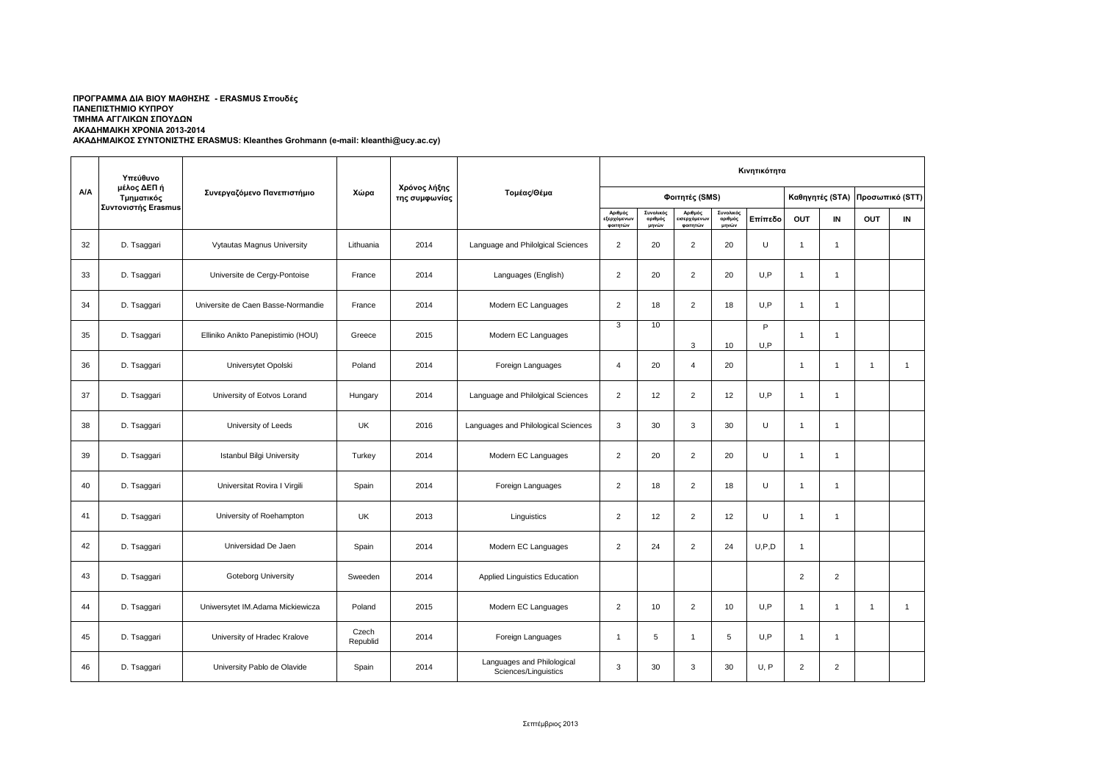|     | Υπεύθυνο                                         |                                    |                   |                               |                                                    | Κινητικότητα                      |                               |                                    |                               |          |                |                 |                |                 |  |
|-----|--------------------------------------------------|------------------------------------|-------------------|-------------------------------|----------------------------------------------------|-----------------------------------|-------------------------------|------------------------------------|-------------------------------|----------|----------------|-----------------|----------------|-----------------|--|
| A/A | μέλος ΔΕΠ ή<br>Τμηματικός<br>Συντονιστής Erasmus | Συνεργαζόμενο Πανεπιστήμιο         | Χώρα              | Χρόνος λήξης<br>της συμφωνίας | Τομέας/Θέμα                                        |                                   |                               | Φοιτητές (SMS)                     |                               |          |                | Καθηγητές (STA) |                | Προσωπικό (STT) |  |
|     |                                                  |                                    |                   |                               |                                                    | Αριθμός<br>εξερχόμενω<br>φοιτητών | Συνολικός<br>αριθμός<br>μηνών | Αριθμός<br>ισερχόμενων<br>φοιτητών | Συνολικός<br>αριθμός<br>μηνών | Επίπεδο  | OUT            | IN              | OUT            | IN              |  |
| 32  | D. Tsaggari                                      | Vytautas Magnus University         | Lithuania         | 2014                          | Language and Philolgical Sciences                  | $\overline{2}$                    | 20                            | $\overline{2}$                     | 20                            | U        | $\mathbf{1}$   | $\overline{1}$  |                |                 |  |
| 33  | D. Tsaggari                                      | Universite de Cergy-Pontoise       | France            | 2014                          | Languages (English)                                | $\overline{2}$                    | 20                            | $\overline{2}$                     | 20                            | U.P      | $\mathbf{1}$   | $\mathbf{1}$    |                |                 |  |
| 34  | D. Tsaggari                                      | Universite de Caen Basse-Normandie | France            | 2014                          | Modern EC Languages                                | $\overline{2}$                    | 18                            | $\overline{2}$                     | 18                            | U.P      | $\mathbf{1}$   | $\mathbf{1}$    |                |                 |  |
| 35  | D. Tsaggari                                      | Elliniko Anikto Panepistimio (HOU) | Greece            | 2015                          | Modern EC Languages                                | 3                                 | 10                            | 3                                  | 10                            | P<br>U.P | $\overline{1}$ | $\overline{1}$  |                |                 |  |
| 36  | D. Tsaggari                                      | Universytet Opolski                | Poland            | 2014                          | Foreign Languages                                  | $\overline{4}$                    | 20                            | $\overline{4}$                     | 20                            |          | $\mathbf{1}$   | $\mathbf{1}$    | $\mathbf{1}$   | $\overline{1}$  |  |
| 37  | D. Tsaggari                                      | University of Eotvos Lorand        | Hungary           | 2014                          | Language and Philolgical Sciences                  | $\overline{2}$                    | 12                            | $\overline{2}$                     | 12                            | U.P      | $\mathbf{1}$   | $\mathbf{1}$    |                |                 |  |
| 38  | D. Tsaggari                                      | University of Leeds                | <b>UK</b>         | 2016                          | Languages and Philological Sciences                | 3                                 | 30                            | 3                                  | 30                            | U        | $\mathbf{1}$   | $\mathbf{1}$    |                |                 |  |
| 39  | D. Tsaggari                                      | Istanbul Bilgi University          | Turkey            | 2014                          | Modern EC Languages                                | $\overline{2}$                    | 20                            | $\overline{2}$                     | 20                            | U        | $\mathbf{1}$   | $\mathbf{1}$    |                |                 |  |
| 40  | D. Tsaggari                                      | Universitat Rovira I Virgili       | Spain             | 2014                          | Foreign Languages                                  | $\overline{2}$                    | 18                            | $\overline{2}$                     | 18                            | U        | $\overline{1}$ | $\overline{1}$  |                |                 |  |
| 41  | D. Tsaggari                                      | University of Roehampton           | <b>UK</b>         | 2013                          | Linguistics                                        | $\overline{2}$                    | 12                            | $\overline{2}$                     | 12                            | U        | $\mathbf{1}$   | $\mathbf{1}$    |                |                 |  |
| 42  | D. Tsaggari                                      | Universidad De Jaen                | Spain             | 2014                          | Modern EC Languages                                | $\overline{2}$                    | 24                            | $\overline{2}$                     | 24                            | U, P, D  | $\mathbf{1}$   |                 |                |                 |  |
| 43  | D. Tsaggari                                      | <b>Goteborg University</b>         | Sweeden           | 2014                          | Applied Linguistics Education                      |                                   |                               |                                    |                               |          | $\overline{2}$ | $\overline{2}$  |                |                 |  |
| 44  | D. Tsaggari                                      | Uniwersytet IM.Adama Mickiewicza   | Poland            | 2015                          | Modern EC Languages                                | $\overline{2}$                    | 10                            | $\overline{2}$                     | 10                            | U.P      | $\mathbf{1}$   | $\mathbf{1}$    | $\overline{1}$ | $\overline{1}$  |  |
| 45  | D. Tsaggari                                      | University of Hradec Kralove       | Czech<br>Republid | 2014                          | Foreign Languages                                  | 1                                 | 5                             | $\overline{1}$                     | 5                             | U,P      | $\mathbf{1}$   | $\mathbf{1}$    |                |                 |  |
| 46  | D. Tsaggari                                      | University Pablo de Olavide        | Spain             | 2014                          | Languages and Philological<br>Sciences/Linguistics | 3                                 | 30                            | 3                                  | 30                            | U, P     | $\overline{2}$ | $\overline{2}$  |                |                 |  |